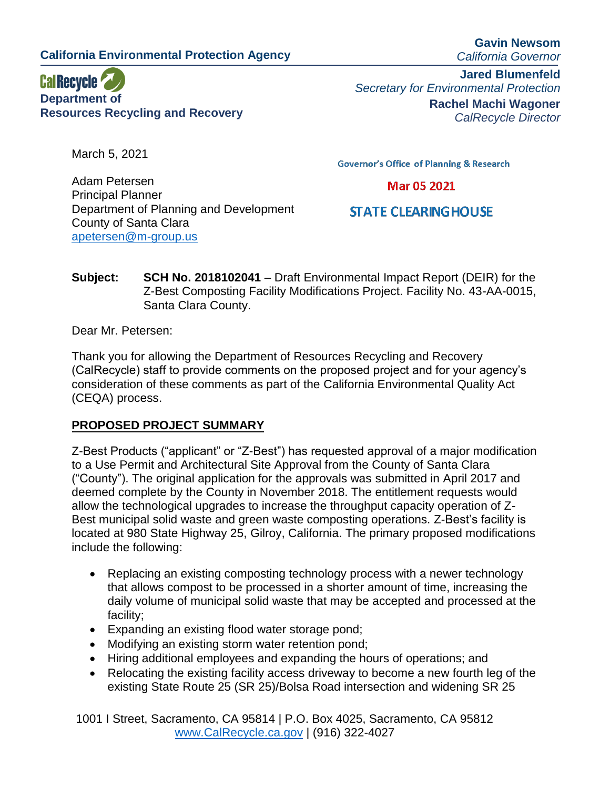**California Environmental Protection Agency**

Department of Planning and Development

**Resources Recycling and Recovery**

March 5, 2021

Adam Petersen Principal Planner

County of Santa Clara [apetersen@m-group.us](mailto:apetersen@m-group.us) **Governor's Office of Planning & Research** 

*Secretary for Environmental Protection*

Mar 05 2021

# **STATE CLEARING HOUSE**

**Subject: SCH No. 2018102041** – Draft Environmental Impact Report (DEIR) for the Z-Best Composting Facility Modifications Project. Facility No. 43-AA-0015, Santa Clara County.

Dear Mr. Petersen:

Thank you for allowing the Department of Resources Recycling and Recovery (CalRecycle) staff to provide comments on the proposed project and for your agency's consideration of these comments as part of the California Environmental Quality Act (CEQA) process.

#### **PROPOSED PROJECT SUMMARY**

Z-Best Products ("applicant" or "Z-Best") has requested approval of a major modification to a Use Permit and Architectural Site Approval from the County of Santa Clara ("County"). The original application for the approvals was submitted in April 2017 and deemed complete by the County in November 2018. The entitlement requests would allow the technological upgrades to increase the throughput capacity operation of Z-Best municipal solid waste and green waste composting operations. Z-Best's facility is located at 980 State Highway 25, Gilroy, California. The primary proposed modifications include the following:

- Replacing an existing composting technology process with a newer technology that allows compost to be processed in a shorter amount of time, increasing the daily volume of municipal solid waste that may be accepted and processed at the facility;
- Expanding an existing flood water storage pond;
- Modifying an existing storm water retention pond;
- Hiring additional employees and expanding the hours of operations; and
- Relocating the existing facility access driveway to become a new fourth leg of the existing State Route 25 (SR 25)/Bolsa Road intersection and widening SR 25

1001 I Street, Sacramento, CA 95814 | P.O. Box 4025, Sacramento, CA 95812 [www.CalRecycle.ca.gov](http://www.calrecycle.ca.gov/) | (916) 322-4027

**Jared Blumenfeld**

**Rachel Machi Wagoner** *CalRecycle Director*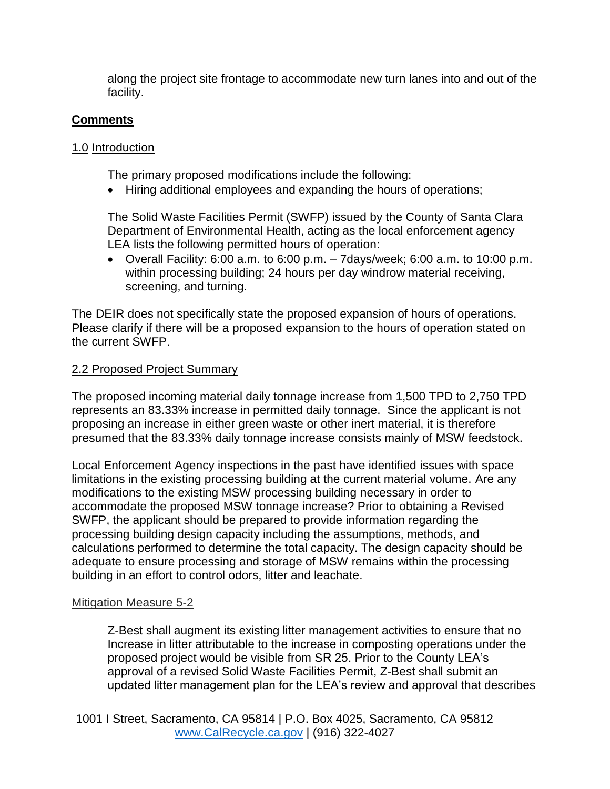along the project site frontage to accommodate new turn lanes into and out of the facility.

# **Comments**

### 1.0 Introduction

The primary proposed modifications include the following:

Hiring additional employees and expanding the hours of operations;

The Solid Waste Facilities Permit (SWFP) issued by the County of Santa Clara Department of Environmental Health, acting as the local enforcement agency LEA lists the following permitted hours of operation:

Overall Facility: 6:00 a.m. to 6:00 p.m.  $-$  7days/week; 6:00 a.m. to 10:00 p.m. within processing building; 24 hours per day windrow material receiving, screening, and turning.

The DEIR does not specifically state the proposed expansion of hours of operations. Please clarify if there will be a proposed expansion to the hours of operation stated on the current SWFP.

#### 2.2 Proposed Project Summary

The proposed incoming material daily tonnage increase from 1,500 TPD to 2,750 TPD represents an 83.33% increase in permitted daily tonnage. Since the applicant is not proposing an increase in either green waste or other inert material, it is therefore presumed that the 83.33% daily tonnage increase consists mainly of MSW feedstock.

Local Enforcement Agency inspections in the past have identified issues with space limitations in the existing processing building at the current material volume. Are any modifications to the existing MSW processing building necessary in order to accommodate the proposed MSW tonnage increase? Prior to obtaining a Revised SWFP, the applicant should be prepared to provide information regarding the processing building design capacity including the assumptions, methods, and calculations performed to determine the total capacity. The design capacity should be adequate to ensure processing and storage of MSW remains within the processing building in an effort to control odors, litter and leachate.

## Mitigation Measure 5-2

Z-Best shall augment its existing litter management activities to ensure that no Increase in litter attributable to the increase in composting operations under the proposed project would be visible from SR 25. Prior to the County LEA's approval of a revised Solid Waste Facilities Permit, Z-Best shall submit an updated litter management plan for the LEA's review and approval that describes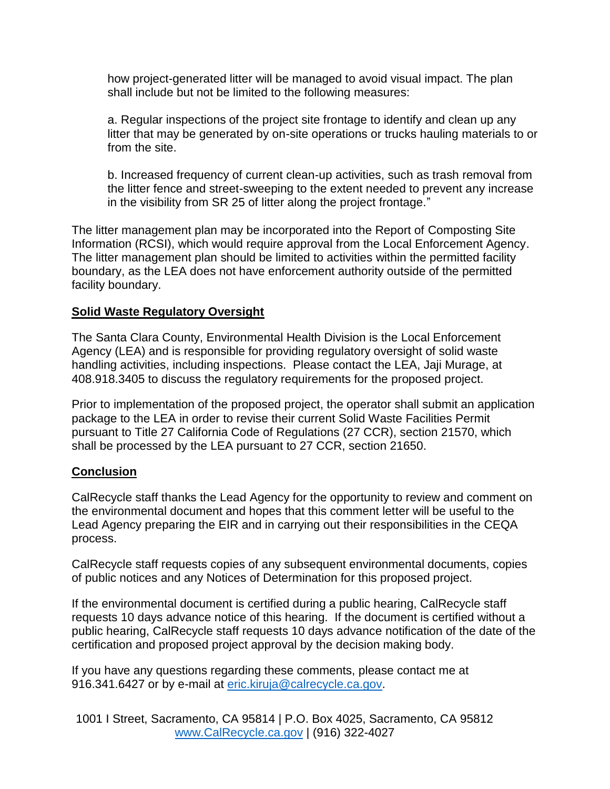how project-generated litter will be managed to avoid visual impact. The plan shall include but not be limited to the following measures:

a. Regular inspections of the project site frontage to identify and clean up any litter that may be generated by on-site operations or trucks hauling materials to or from the site.

b. Increased frequency of current clean-up activities, such as trash removal from the litter fence and street-sweeping to the extent needed to prevent any increase in the visibility from SR 25 of litter along the project frontage."

The litter management plan may be incorporated into the Report of Composting Site Information (RCSI), which would require approval from the Local Enforcement Agency. The litter management plan should be limited to activities within the permitted facility boundary, as the LEA does not have enforcement authority outside of the permitted facility boundary.

# **Solid Waste Regulatory Oversight**

The Santa Clara County, Environmental Health Division is the Local Enforcement Agency (LEA) and is responsible for providing regulatory oversight of solid waste handling activities, including inspections. Please contact the LEA, Jaji Murage, at 408.918.3405 to discuss the regulatory requirements for the proposed project.

Prior to implementation of the proposed project, the operator shall submit an application package to the LEA in order to revise their current Solid Waste Facilities Permit pursuant to Title 27 California Code of Regulations (27 CCR), section 21570, which shall be processed by the LEA pursuant to 27 CCR, section 21650.

## **Conclusion**

CalRecycle staff thanks the Lead Agency for the opportunity to review and comment on the environmental document and hopes that this comment letter will be useful to the Lead Agency preparing the EIR and in carrying out their responsibilities in the CEQA process.

CalRecycle staff requests copies of any subsequent environmental documents, copies of public notices and any Notices of Determination for this proposed project.

If the environmental document is certified during a public hearing, CalRecycle staff requests 10 days advance notice of this hearing. If the document is certified without a public hearing, CalRecycle staff requests 10 days advance notification of the date of the certification and proposed project approval by the decision making body.

If you have any questions regarding these comments, please contact me at 916.341.6427 or by e-mail at [eric.kiruja@calrecycle.ca.gov.](mailto:eric.kiruja@calrecycle.ca.gov)

1001 I Street, Sacramento, CA 95814 | P.O. Box 4025, Sacramento, CA 95812 [www.CalRecycle.ca.gov](http://www.calrecycle.ca.gov/) | (916) 322-4027